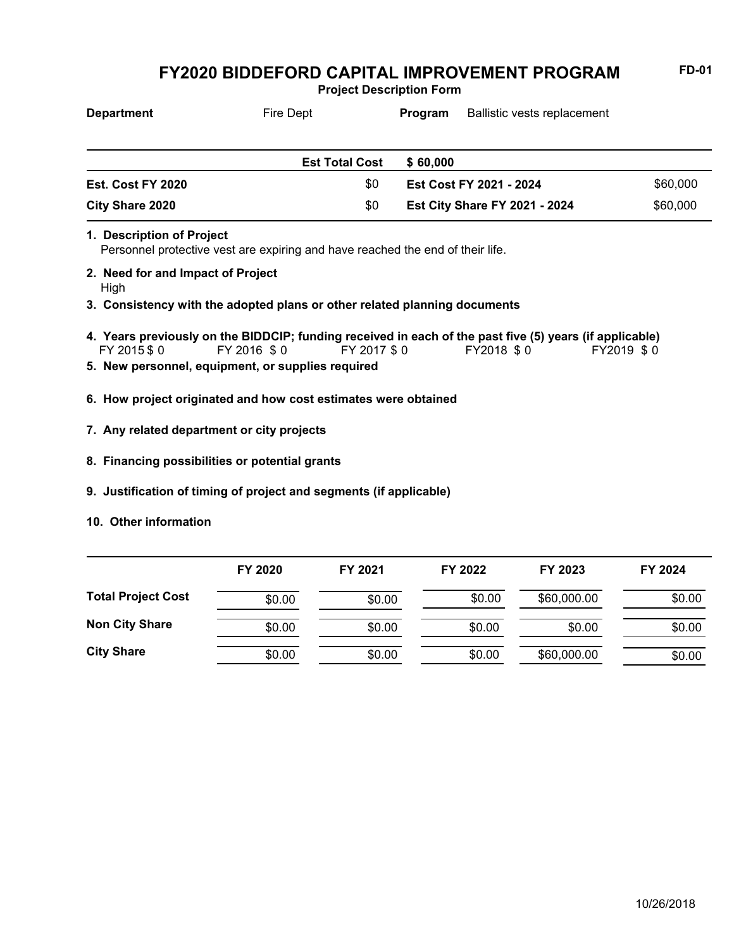**Project Description Form**

| <b>Department</b> | Fire Dept             | Ballistic vests replacement<br>Program |                                      |          |
|-------------------|-----------------------|----------------------------------------|--------------------------------------|----------|
|                   |                       |                                        |                                      |          |
|                   | <b>Est Total Cost</b> | \$60,000                               |                                      |          |
| Est. Cost FY 2020 | \$0                   |                                        | Est Cost FY 2021 - 2024              | \$60,000 |
| City Share 2020   | \$0                   |                                        | <b>Est City Share FY 2021 - 2024</b> | \$60,000 |

- Personnel protective vest are expiring and have reached the end of their life. **1. Description of Project**
- **2. Need for and Impact of Project**
- High
- **3. Consistency with the adopted plans or other related planning documents**
- FY 2015 \$ 0 FY 2016 \$ 0 FY 2017 \$ 0 FY2018 \$ 0 FY2019 \$ 0 **4. Years previously on the BIDDCIP; funding received in each of the past five (5) years (if applicable)**
- **5. New personnel, equipment, or supplies required**
- **6. How project originated and how cost estimates were obtained**
- **7. Any related department or city projects**
- **8. Financing possibilities or potential grants**
- **9. Justification of timing of project and segments (if applicable)**
- **10. Other information**

|                           | FY 2020 | FY 2021 | FY 2022 | FY 2023     | FY 2024 |
|---------------------------|---------|---------|---------|-------------|---------|
| <b>Total Project Cost</b> | \$0.00  | \$0.00  | \$0.00  | \$60,000.00 | \$0.00  |
| <b>Non City Share</b>     | \$0.00  | \$0.00  | \$0.00  | \$0.00      | \$0.00  |
| <b>City Share</b>         | \$0.00  | \$0.00  | \$0.00  | \$60,000.00 | \$0.00  |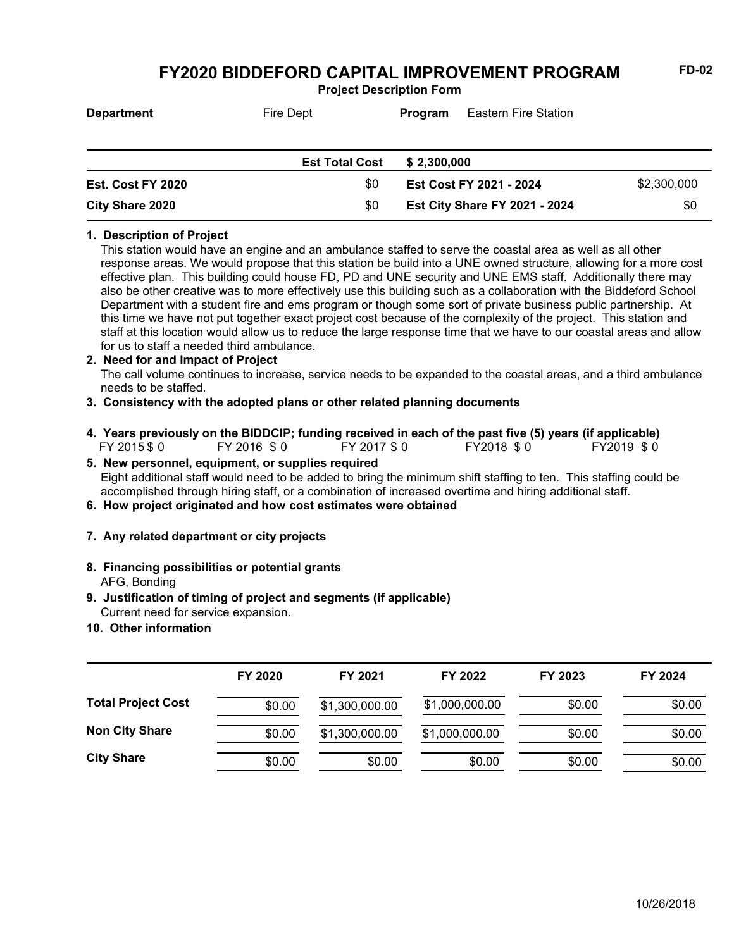**Project Description Form**

| <b>Department</b>      | Fire Dept             | Program                 | <b>Eastern Fire Station</b>          |             |
|------------------------|-----------------------|-------------------------|--------------------------------------|-------------|
|                        | <b>Est Total Cost</b> | \$2,300,000             |                                      |             |
| Est. Cost FY 2020      | \$0                   | Est Cost FY 2021 - 2024 |                                      | \$2,300,000 |
| <b>City Share 2020</b> | \$0                   |                         | <b>Est City Share FY 2021 - 2024</b> | \$0         |

### **1. Description of Project**

This station would have an engine and an ambulance staffed to serve the coastal area as well as all other response areas. We would propose that this station be build into a UNE owned structure, allowing for a more cost effective plan. This building could house FD, PD and UNE security and UNE EMS staff. Additionally there may also be other creative was to more effectively use this building such as a collaboration with the Biddeford School Department with a student fire and ems program or though some sort of private business public partnership. At this time we have not put together exact project cost because of the complexity of the project. This station and staff at this location would allow us to reduce the large response time that we have to our coastal areas and allow for us to staff a needed third ambulance.

### **2. Need for and Impact of Project**

The call volume continues to increase, service needs to be expanded to the coastal areas, and a third ambulance needs to be staffed.

- **3. Consistency with the adopted plans or other related planning documents**
- FY 2015 \$ 0 FY 2016 \$ 0 FY 2017 \$ 0 FY2018 \$ 0 FY2019 \$ 0 **4. Years previously on the BIDDCIP; funding received in each of the past five (5) years (if applicable)**
- Eight additional staff would need to be added to bring the minimum shift staffing to ten. This staffing could be accomplished through hiring staff, or a combination of increased overtime and hiring additional staff. **5. New personnel, equipment, or supplies required**
- **6. How project originated and how cost estimates were obtained**
- **7. Any related department or city projects**
- AFG, Bonding **8. Financing possibilities or potential grants**
- Current need for service expansion. **9. Justification of timing of project and segments (if applicable)**
- **10. Other information**

|                           | FY 2020 | FY 2021        | FY 2022        | FY 2023 | FY 2024 |
|---------------------------|---------|----------------|----------------|---------|---------|
| <b>Total Project Cost</b> | \$0.00  | \$1,300,000.00 | \$1,000,000.00 | \$0.00  | \$0.00  |
| <b>Non City Share</b>     | \$0.00  | \$1,300,000.00 | \$1,000,000.00 | \$0.00  | \$0.00  |
| <b>City Share</b>         | \$0.00  | \$0.00         | \$0.00         | \$0.00  | \$0.00  |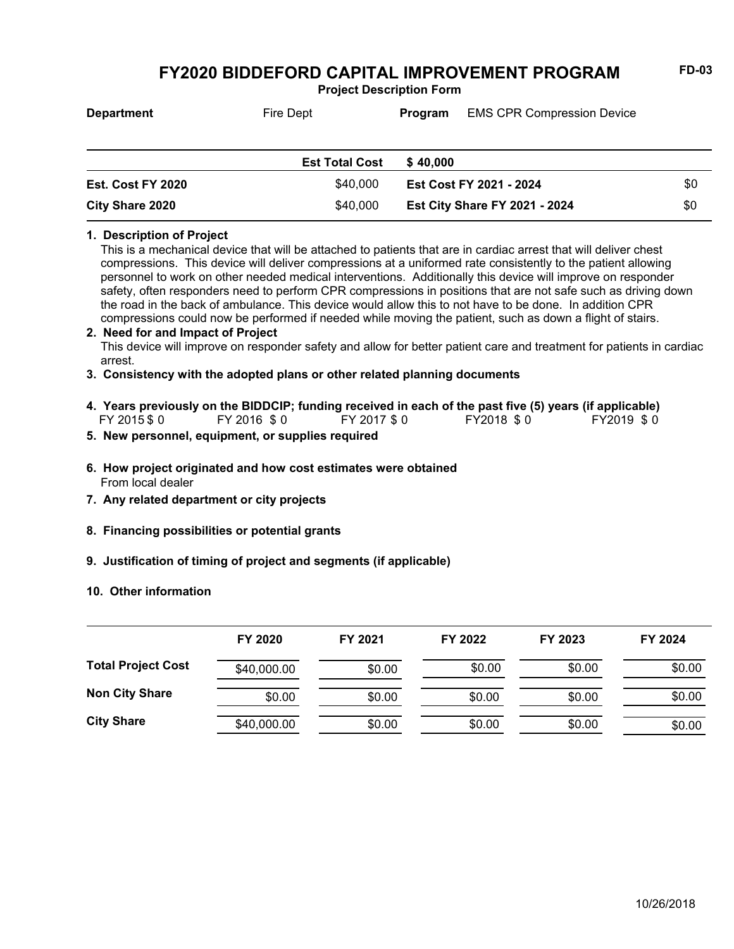**Project Description Form**

| <b>Department</b> | Fire Dept             | <b>EMS CPR Compression Device</b><br>Program |                                      |     |
|-------------------|-----------------------|----------------------------------------------|--------------------------------------|-----|
|                   | <b>Est Total Cost</b> | \$40,000                                     |                                      |     |
| Est. Cost FY 2020 | \$40,000              | Est Cost FY 2021 - 2024                      |                                      | \$0 |
| City Share 2020   | \$40,000              |                                              | <b>Est City Share FY 2021 - 2024</b> | \$0 |

#### **1. Description of Project**

This is a mechanical device that will be attached to patients that are in cardiac arrest that will deliver chest compressions. This device will deliver compressions at a uniformed rate consistently to the patient allowing personnel to work on other needed medical interventions. Additionally this device will improve on responder safety, often responders need to perform CPR compressions in positions that are not safe such as driving down the road in the back of ambulance. This device would allow this to not have to be done. In addition CPR compressions could now be performed if needed while moving the patient, such as down a flight of stairs.

### This device will improve on responder safety and allow for better patient care and treatment for patients in cardiac arrest. **2. Need for and Impact of Project**

- **3. Consistency with the adopted plans or other related planning documents**
- FY 2015 \$ 0 FY 2016 \$ 0 FY 2017 \$ 0 FY2018 \$ 0 FY2019 \$ 0 **4. Years previously on the BIDDCIP; funding received in each of the past five (5) years (if applicable)**
- **5. New personnel, equipment, or supplies required**
- From local dealer **6. How project originated and how cost estimates were obtained**
- **7. Any related department or city projects**
- **8. Financing possibilities or potential grants**
- **9. Justification of timing of project and segments (if applicable)**
- **10. Other information**

|                           | FY 2020     | FY 2021 | FY 2022 | FY 2023 | FY 2024 |
|---------------------------|-------------|---------|---------|---------|---------|
| <b>Total Project Cost</b> | \$40,000.00 | \$0.00  | \$0.00  | \$0.00  | \$0.00  |
| <b>Non City Share</b>     | \$0.00      | \$0.00  | \$0.00  | \$0.00  | \$0.00  |
| <b>City Share</b>         | \$40,000.00 | \$0.00  | \$0.00  | \$0.00  | \$0.00  |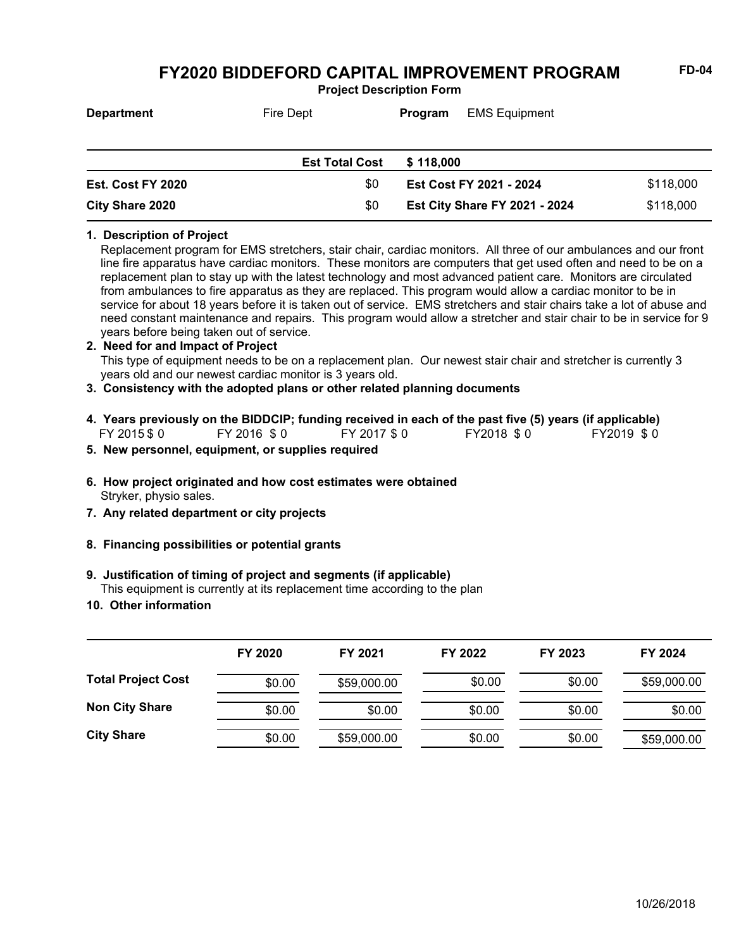**Project Description Form**

| <b>Department</b> | Fire Dept             | Program   | <b>EMS Equipment</b>           |           |
|-------------------|-----------------------|-----------|--------------------------------|-----------|
|                   |                       |           |                                |           |
|                   | <b>Est Total Cost</b> | \$118,000 |                                |           |
| Est. Cost FY 2020 | \$0                   |           | <b>Est Cost FY 2021 - 2024</b> | \$118,000 |

# **1. Description of Project**

Replacement program for EMS stretchers, stair chair, cardiac monitors. All three of our ambulances and our front line fire apparatus have cardiac monitors. These monitors are computers that get used often and need to be on a replacement plan to stay up with the latest technology and most advanced patient care. Monitors are circulated from ambulances to fire apparatus as they are replaced. This program would allow a cardiac monitor to be in service for about 18 years before it is taken out of service. EMS stretchers and stair chairs take a lot of abuse and need constant maintenance and repairs. This program would allow a stretcher and stair chair to be in service for 9 years before being taken out of service.

**Est City Share FY 2021 - 2024** \$118,000

#### **2. Need for and Impact of Project**

This type of equipment needs to be on a replacement plan. Our newest stair chair and stretcher is currently 3 years old and our newest cardiac monitor is 3 years old.

### **3. Consistency with the adopted plans or other related planning documents**

- FY 2015 \$ 0 FY 2016 \$ 0 FY 2017 \$ 0 FY2018 \$ 0 FY2019 \$ 0 **4. Years previously on the BIDDCIP; funding received in each of the past five (5) years (if applicable)**
- **5. New personnel, equipment, or supplies required**

**City Share 2020** \$0

- Stryker, physio sales. **6. How project originated and how cost estimates were obtained**
- **7. Any related department or city projects**
- **8. Financing possibilities or potential grants**

### **9. Justification of timing of project and segments (if applicable)**

This equipment is currently at its replacement time according to the plan

**10. Other information**

|                           | FY 2020 | FY 2021     | FY 2022 | FY 2023 | FY 2024     |
|---------------------------|---------|-------------|---------|---------|-------------|
| <b>Total Project Cost</b> | \$0.00  | \$59,000.00 | \$0.00  | \$0.00  | \$59,000.00 |
| <b>Non City Share</b>     | \$0.00  | \$0.00      | \$0.00  | \$0.00  | \$0.00      |
| <b>City Share</b>         | \$0.00  | \$59,000.00 | \$0.00  | \$0.00  | \$59,000.00 |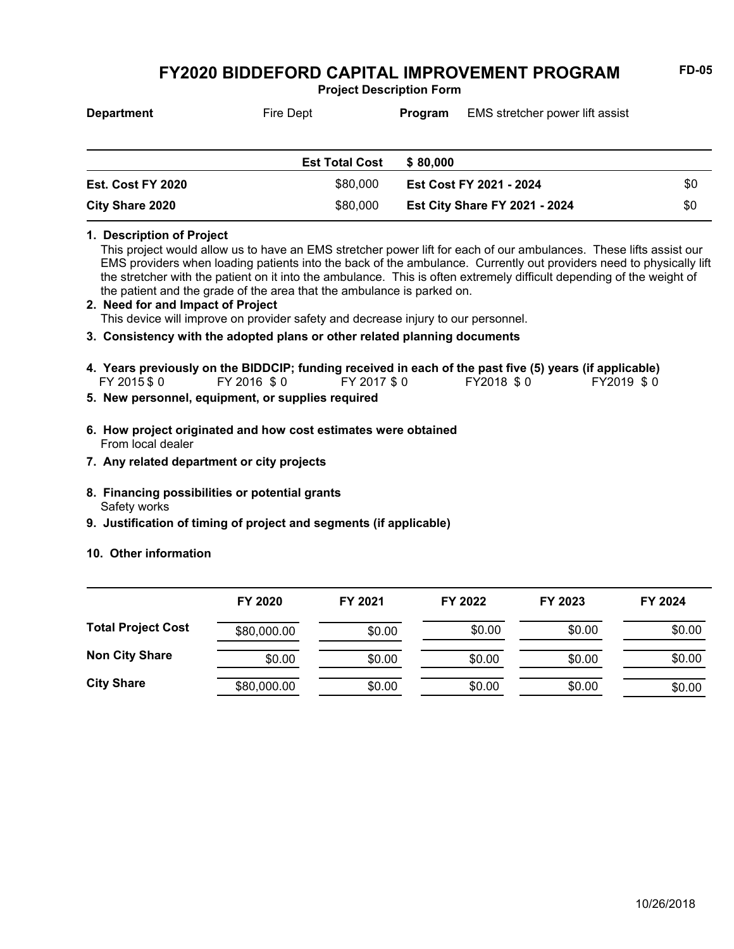**Project Description Form**

| <b>Department</b> | Fire Dept             | <b>Program</b> | EMS stretcher power lift assist |     |
|-------------------|-----------------------|----------------|---------------------------------|-----|
|                   |                       |                |                                 |     |
|                   | <b>Est Total Cost</b> | \$80,000       |                                 |     |
| Est. Cost FY 2020 | \$80,000              |                | Est Cost FY 2021 - 2024         | \$0 |

#### **1. Description of Project**

This project would allow us to have an EMS stretcher power lift for each of our ambulances. These lifts assist our EMS providers when loading patients into the back of the ambulance. Currently out providers need to physically lift the stretcher with the patient on it into the ambulance. This is often extremely difficult depending of the weight of the patient and the grade of the area that the ambulance is parked on.

**Est City Share FY 2021 - 2024** \$0

This device will improve on provider safety and decrease injury to our personnel. **2. Need for and Impact of Project**

### **3. Consistency with the adopted plans or other related planning documents**

- FY 2015 \$ 0 FY 2016 \$ 0 FY 2017 \$ 0 FY2018 \$ 0 FY2019 \$ 0 **4. Years previously on the BIDDCIP; funding received in each of the past five (5) years (if applicable)**
- **5. New personnel, equipment, or supplies required**

**City Share 2020** \$80,000

- From local dealer **6. How project originated and how cost estimates were obtained**
- **7. Any related department or city projects**
- Safety works **8. Financing possibilities or potential grants**
- **9. Justification of timing of project and segments (if applicable)**
- **10. Other information**

|                           | FY 2020     | FY 2021 | FY 2022 | FY 2023 | FY 2024 |
|---------------------------|-------------|---------|---------|---------|---------|
| <b>Total Project Cost</b> | \$80,000.00 | \$0.00  | \$0.00  | \$0.00  | \$0.00  |
| <b>Non City Share</b>     | \$0.00      | \$0.00  | \$0.00  | \$0.00  | \$0.00  |
| <b>City Share</b>         | \$80,000.00 | \$0.00  | \$0.00  | \$0.00  | \$0.00  |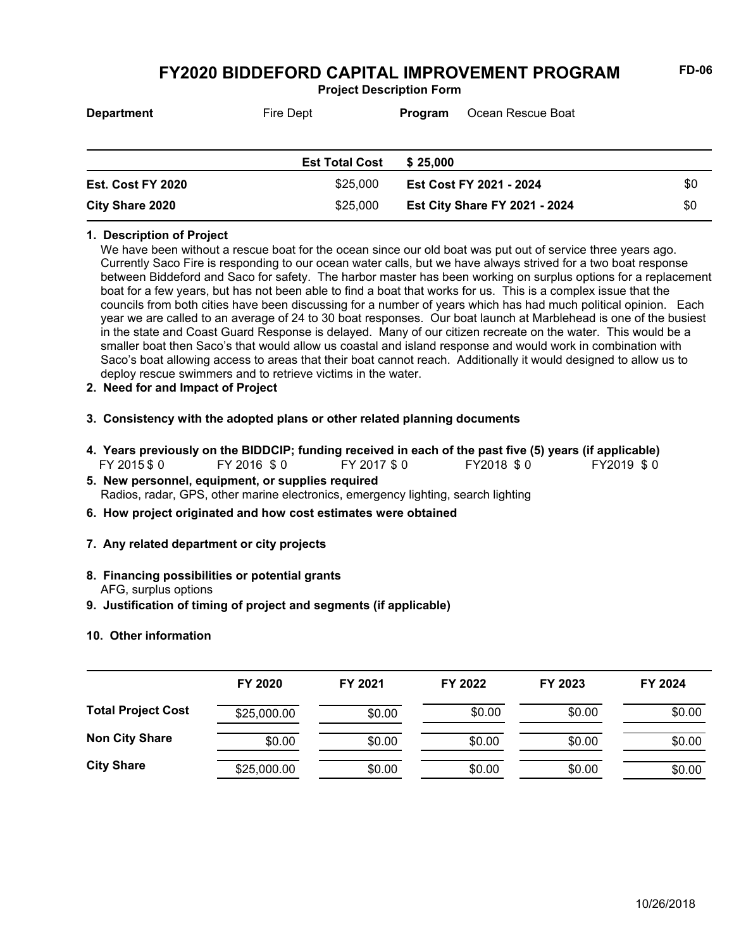**Project Description Form**

| <b>Department</b> | Fire Dept             | Ocean Rescue Boat<br>Program         |     |
|-------------------|-----------------------|--------------------------------------|-----|
|                   | <b>Est Total Cost</b> | \$25,000                             |     |
| Est. Cost FY 2020 | \$25,000              | <b>Est Cost FY 2021 - 2024</b>       |     |
| City Share 2020   | \$25,000              | <b>Est City Share FY 2021 - 2024</b> | \$0 |

#### **1. Description of Project**

We have been without a rescue boat for the ocean since our old boat was put out of service three years ago. Currently Saco Fire is responding to our ocean water calls, but we have always strived for a two boat response between Biddeford and Saco for safety. The harbor master has been working on surplus options for a replacement boat for a few years, but has not been able to find a boat that works for us. This is a complex issue that the councils from both cities have been discussing for a number of years which has had much political opinion. Each year we are called to an average of 24 to 30 boat responses. Our boat launch at Marblehead is one of the busiest in the state and Coast Guard Response is delayed. Many of our citizen recreate on the water. This would be a smaller boat then Saco's that would allow us coastal and island response and would work in combination with Saco's boat allowing access to areas that their boat cannot reach. Additionally it would designed to allow us to deploy rescue swimmers and to retrieve victims in the water.

- **2. Need for and Impact of Project**
- **3. Consistency with the adopted plans or other related planning documents**
- FY 2015 \$ 0 FY 2016 \$ 0 FY 2017 \$ 0 FY2018 \$ 0 FY2019 \$ 0 **4. Years previously on the BIDDCIP; funding received in each of the past five (5) years (if applicable)**
- Radios, radar, GPS, other marine electronics, emergency lighting, search lighting **5. New personnel, equipment, or supplies required**
- **6. How project originated and how cost estimates were obtained**
- **7. Any related department or city projects**
- AFG, surplus options **8. Financing possibilities or potential grants**
- **9. Justification of timing of project and segments (if applicable)**
- **10. Other information**

|                           | FY 2020<br>FY 2021 |        | FY 2022 | FY 2023 | FY 2024 |
|---------------------------|--------------------|--------|---------|---------|---------|
|                           |                    |        |         |         |         |
| <b>Total Project Cost</b> | \$25,000.00        | \$0.00 | \$0.00  | \$0.00  | \$0.00  |
| <b>Non City Share</b>     | \$0.00             | \$0.00 | \$0.00  | \$0.00  | \$0.00  |
| <b>City Share</b>         | \$25,000.00        | \$0.00 | \$0.00  | \$0.00  | \$0.00  |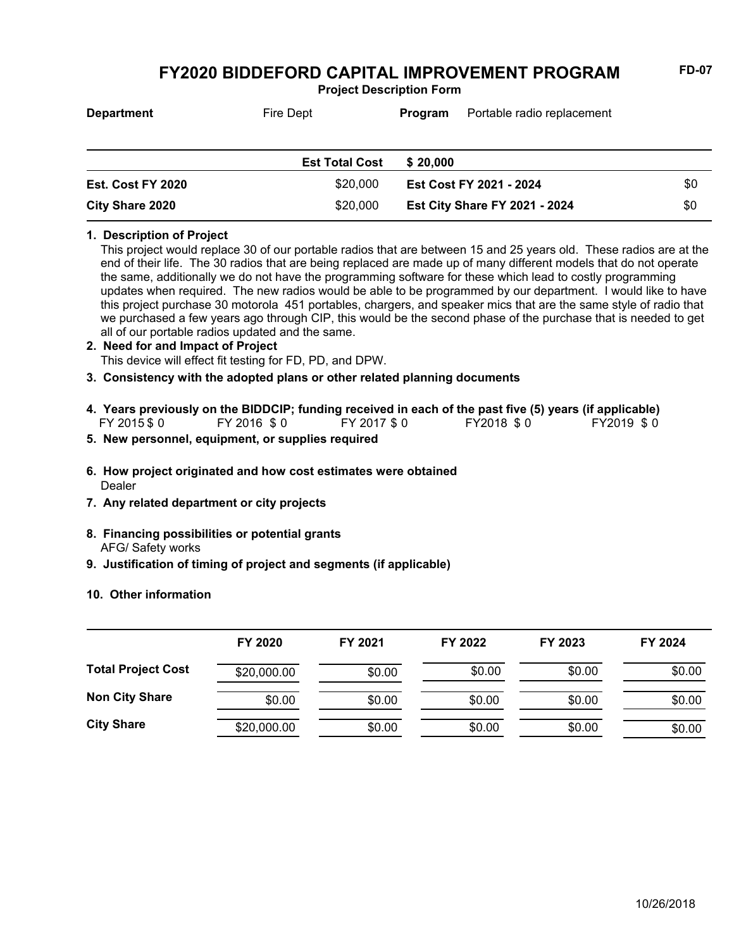**Project Description Form**

| <b>Department</b> | Fire Dept             | Portable radio replacement<br>Program |                                      |     |
|-------------------|-----------------------|---------------------------------------|--------------------------------------|-----|
|                   | <b>Est Total Cost</b> | \$20,000                              |                                      |     |
| Est. Cost FY 2020 | \$20,000              |                                       | Est Cost FY 2021 - 2024              | \$0 |
| City Share 2020   | \$20,000              |                                       | <b>Est City Share FY 2021 - 2024</b> | \$0 |

#### **1. Description of Project**

This project would replace 30 of our portable radios that are between 15 and 25 years old. These radios are at the end of their life. The 30 radios that are being replaced are made up of many different models that do not operate the same, additionally we do not have the programming software for these which lead to costly programming updates when required. The new radios would be able to be programmed by our department. I would like to have this project purchase 30 motorola 451 portables, chargers, and speaker mics that are the same style of radio that we purchased a few years ago through CIP, this would be the second phase of the purchase that is needed to get all of our portable radios updated and the same.

# **2. Need for and Impact of Project**

This device will effect fit testing for FD, PD, and DPW.

**3. Consistency with the adopted plans or other related planning documents**

- FY 2015 \$ 0 FY 2016 \$ 0 FY 2017 \$ 0 FY2018 \$ 0 FY2019 \$ 0 **4. Years previously on the BIDDCIP; funding received in each of the past five (5) years (if applicable)**
- **5. New personnel, equipment, or supplies required**
- Dealer **6. How project originated and how cost estimates were obtained**
- **7. Any related department or city projects**
- AFG/ Safety works **8. Financing possibilities or potential grants**
- **9. Justification of timing of project and segments (if applicable)**
- **10. Other information**

|                           | FY 2020     | FY 2021 | FY 2022 | FY 2023 | FY 2024 |
|---------------------------|-------------|---------|---------|---------|---------|
| <b>Total Project Cost</b> | \$20,000.00 | \$0.00  | \$0.00  | \$0.00  | \$0.00  |
| <b>Non City Share</b>     | \$0.00      | \$0.00  | \$0.00  | \$0.00  | \$0.00  |
| <b>City Share</b>         | \$20,000.00 | \$0.00  | \$0.00  | \$0.00  | \$0.00  |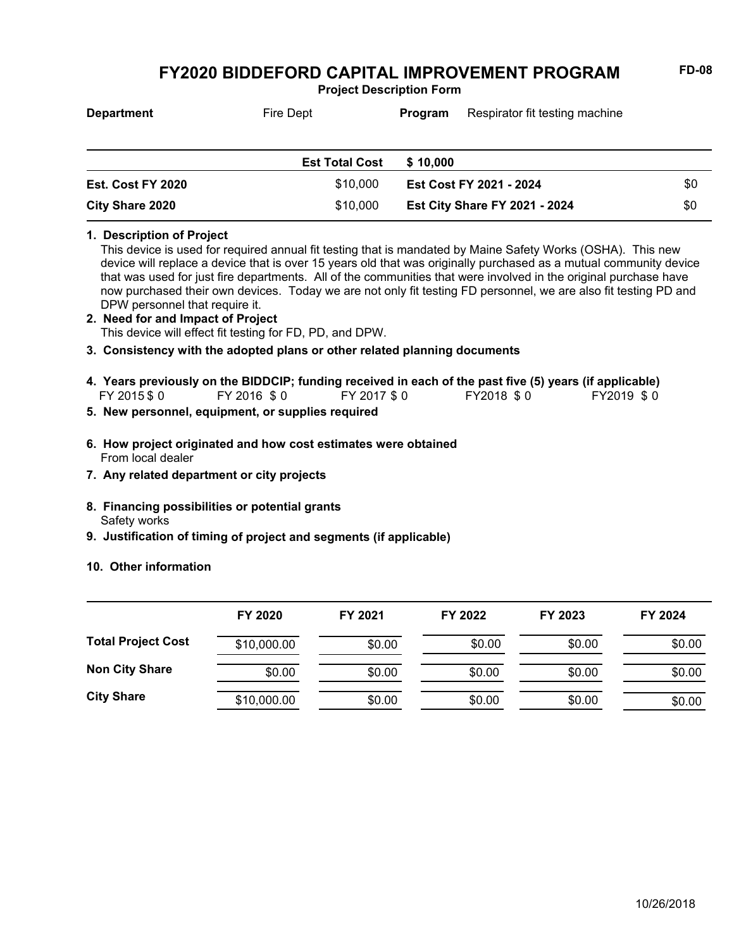**Project Description Form**

| <b>Department</b>      | Fire Dept             | Respirator fit testing machine<br><b>Program</b> |                                      |     |
|------------------------|-----------------------|--------------------------------------------------|--------------------------------------|-----|
|                        | <b>Est Total Cost</b> | \$10,000                                         |                                      |     |
| Est. Cost FY 2020      | \$10,000              |                                                  | <b>Est Cost FY 2021 - 2024</b>       | \$0 |
| <b>City Share 2020</b> | \$10,000              |                                                  | <b>Est City Share FY 2021 - 2024</b> | \$0 |

#### **1. Description of Project**

This device is used for required annual fit testing that is mandated by Maine Safety Works (OSHA). This new device will replace a device that is over 15 years old that was originally purchased as a mutual community device that was used for just fire departments. All of the communities that were involved in the original purchase have now purchased their own devices. Today we are not only fit testing FD personnel, we are also fit testing PD and DPW personnel that require it.

- This device will effect fit testing for FD, PD, and DPW. **2. Need for and Impact of Project**
- **3. Consistency with the adopted plans or other related planning documents**
- FY 2015 \$ 0 FY 2016 \$ 0 FY 2017 \$ 0 FY2018 \$ 0 FY2019 \$ 0 **4. Years previously on the BIDDCIP; funding received in each of the past five (5) years (if applicable)**
- **5. New personnel, equipment, or supplies required**
- From local dealer **6. How project originated and how cost estimates were obtained**
- **7. Any related department or city projects**
- Safety works **8. Financing possibilities or potential grants**
- **9. Justification of timing of project and segments (if applicable)**
- **10. Other information**

|                           | FY 2020     | FY 2021 | FY 2022 | FY 2023 | FY 2024 |
|---------------------------|-------------|---------|---------|---------|---------|
| <b>Total Project Cost</b> | \$10,000.00 | \$0.00  | \$0.00  | \$0.00  | \$0.00  |
| <b>Non City Share</b>     | \$0.00      | \$0.00  | \$0.00  | \$0.00  | \$0.00  |
| <b>City Share</b>         | \$10,000.00 | \$0.00  | \$0.00  | \$0.00  | \$0.00  |